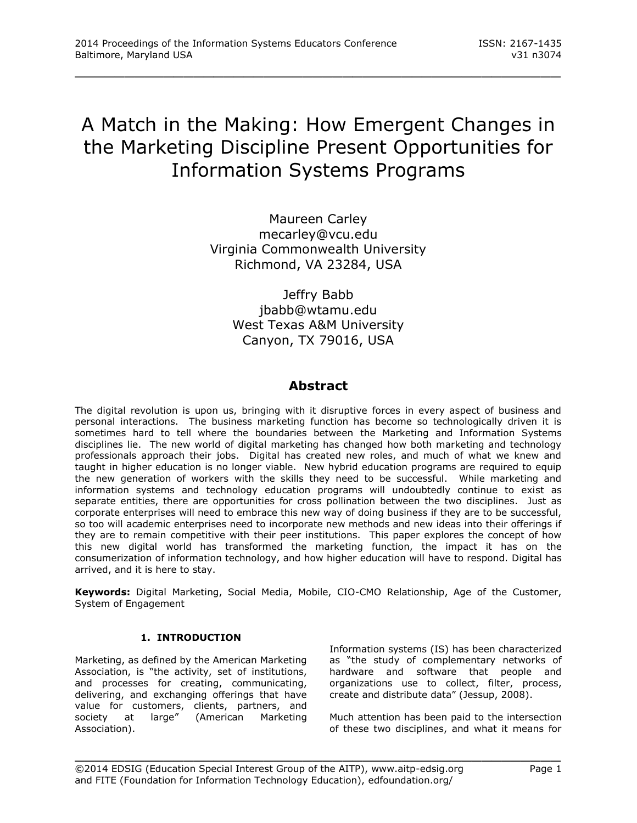# A Match in the Making: How Emergent Changes in the Marketing Discipline Present Opportunities for Information Systems Programs

\_\_\_\_\_\_\_\_\_\_\_\_\_\_\_\_\_\_\_\_\_\_\_\_\_\_\_\_\_\_\_\_\_\_\_\_\_\_\_\_\_\_\_\_\_\_\_\_\_

Maureen Carley [mecarley@vcu.edu](mailto:mecarley@vcu.edu) Virginia Commonwealth University Richmond, VA 23284, USA

Jeffry Babb [jbabb@wtamu.edu](mailto:jbabb@wtamu.edu) West Texas A&M University Canyon, TX 79016, USA

# **Abstract**

The digital revolution is upon us, bringing with it disruptive forces in every aspect of business and personal interactions. The business marketing function has become so technologically driven it is sometimes hard to tell where the boundaries between the Marketing and Information Systems disciplines lie. The new world of digital marketing has changed how both marketing and technology professionals approach their jobs. Digital has created new roles, and much of what we knew and taught in higher education is no longer viable. New hybrid education programs are required to equip the new generation of workers with the skills they need to be successful. While marketing and information systems and technology education programs will undoubtedly continue to exist as separate entities, there are opportunities for cross pollination between the two disciplines. Just as corporate enterprises will need to embrace this new way of doing business if they are to be successful, so too will academic enterprises need to incorporate new methods and new ideas into their offerings if they are to remain competitive with their peer institutions. This paper explores the concept of how this new digital world has transformed the marketing function, the impact it has on the consumerization of information technology, and how higher education will have to respond. Digital has arrived, and it is here to stay.

**Keywords:** Digital Marketing, Social Media, Mobile, CIO-CMO Relationship, Age of the Customer, System of Engagement

\_\_\_\_\_\_\_\_\_\_\_\_\_\_\_\_\_\_\_\_\_\_\_\_\_\_\_\_\_\_\_\_\_\_\_\_\_\_\_\_\_\_\_\_\_\_\_\_\_

# **1. INTRODUCTION**

Marketing, as defined by the American Marketing Association, is "the activity, set of institutions, and processes for creating, communicating, delivering, and exchanging offerings that have value for customers, clients, partners, and society at large" (American Marketing Association).

Information systems (IS) has been characterized as "the study of complementary networks of hardware and software that people and organizations use to collect, filter, process, create and distribute data" (Jessup, 2008).

Much attention has been paid to the intersection of these two disciplines, and what it means for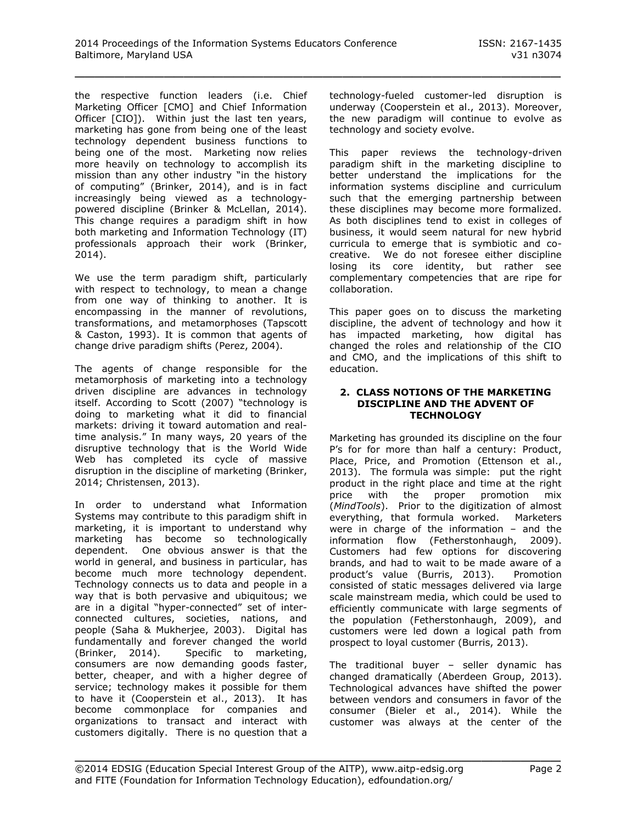the respective function leaders (i.e. Chief Marketing Officer [CMO] and Chief Information Officer [CIO]). Within just the last ten years, marketing has gone from being one of the least technology dependent business functions to being one of the most. Marketing now relies more heavily on technology to accomplish its mission than any other industry "in the history of computing" (Brinker, 2014), and is in fact increasingly being viewed as a technologypowered discipline (Brinker & McLellan, 2014). This change requires a paradigm shift in how both marketing and Information Technology (IT) professionals approach their work (Brinker, 2014).

We use the term paradigm shift, particularly with respect to technology, to mean a change from one way of thinking to another. It is encompassing in the manner of revolutions, transformations, and metamorphoses (Tapscott & Caston, 1993). It is common that agents of change drive paradigm shifts (Perez, 2004).

The agents of change responsible for the metamorphosis of marketing into a technology driven discipline are advances in technology itself. According to Scott (2007) "technology is doing to marketing what it did to financial markets: driving it toward automation and realtime analysis." In many ways, 20 years of the disruptive technology that is the World Wide Web has completed its cycle of massive disruption in the discipline of marketing (Brinker, 2014; Christensen, 2013).

In order to understand what Information Systems may contribute to this paradigm shift in marketing, it is important to understand why marketing has become so technologically dependent. One obvious answer is that the world in general, and business in particular, has become much more technology dependent. Technology connects us to data and people in a way that is both pervasive and ubiquitous; we are in a digital "hyper-connected" set of interconnected cultures, societies, nations, and people (Saha & Mukherjee, 2003). Digital has fundamentally and forever changed the world (Brinker, 2014). Specific to marketing, consumers are now demanding goods faster, better, cheaper, and with a higher degree of service; technology makes it possible for them to have it (Cooperstein et al., 2013). It has become commonplace for companies and organizations to transact and interact with customers digitally. There is no question that a

technology-fueled customer-led disruption is underway (Cooperstein et al., 2013). Moreover, the new paradigm will continue to evolve as technology and society evolve.

This paper reviews the technology-driven paradigm shift in the marketing discipline to better understand the implications for the information systems discipline and curriculum such that the emerging partnership between these disciplines may become more formalized. As both disciplines tend to exist in colleges of business, it would seem natural for new hybrid curricula to emerge that is symbiotic and cocreative. We do not foresee either discipline losing its core identity, but rather see complementary competencies that are ripe for collaboration.

This paper goes on to discuss the marketing discipline, the advent of technology and how it has impacted marketing, how digital has changed the roles and relationship of the CIO and CMO, and the implications of this shift to education.

#### **2. CLASS NOTIONS OF THE MARKETING DISCIPLINE AND THE ADVENT OF TECHNOLOGY**

Marketing has grounded its discipline on the four P's for for more than half a century: Product, Place, Price, and Promotion (Ettenson et al., 2013). The formula was simple: put the right product in the right place and time at the right price with the proper promotion mix (*MindTools*). Prior to the digitization of almost everything, that formula worked. Marketers were in charge of the information – and the information flow (Fetherstonhaugh, 2009). Customers had few options for discovering brands, and had to wait to be made aware of a product's value (Burris, 2013). Promotion consisted of static messages delivered via large scale mainstream media, which could be used to efficiently communicate with large segments of the population (Fetherstonhaugh, 2009), and customers were led down a logical path from prospect to loyal customer (Burris, 2013).

The traditional buyer – seller dynamic has changed dramatically (Aberdeen Group, 2013). Technological advances have shifted the power between vendors and consumers in favor of the consumer (Bieler et al., 2014). While the customer was always at the center of the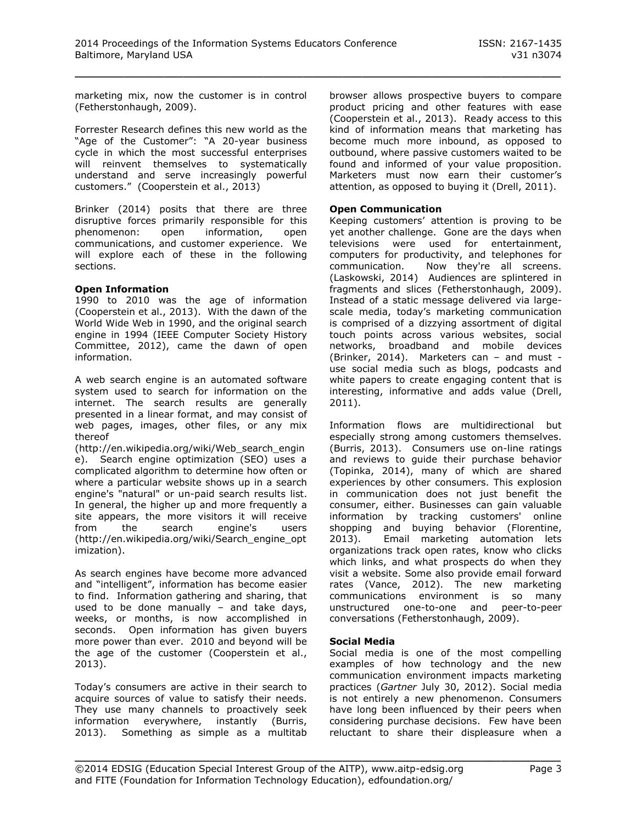marketing mix, now the customer is in control (Fetherstonhaugh, 2009).

Forrester Research defines this new world as the "Age of the Customer": "A 20-year business cycle in which the most successful enterprises will reinvent themselves to systematically understand and serve increasingly powerful customers." (Cooperstein et al., 2013)

Brinker (2014) posits that there are three disruptive forces primarily responsible for this phenomenon: open information, open communications, and customer experience. We will explore each of these in the following sections.

## **Open Information**

1990 to 2010 was the age of information (Cooperstein et al., 2013). With the dawn of the World Wide Web in 1990, and the original search engine in 1994 (IEEE Computer Society History Committee, 2012), came the dawn of open information.

A web search engine is an automated software system used to search for information on the internet. The search results are generally presented in a linear format, and may consist of web pages, images, other files, or any mix thereof

(http://en.wikipedia.org/wiki/Web\_search\_engin e). Search engine optimization (SEO) uses a complicated algorithm to determine how often or where a particular website shows up in a search engine's "natural" or un-paid search results list. In general, the higher up and more frequently a site appears, the more visitors it will receive<br>from the search engine's users from the search engine's (http://en.wikipedia.org/wiki/Search\_engine\_opt imization).

As search engines have become more advanced and "intelligent", information has become easier to find. Information gathering and sharing, that used to be done manually – and take days, weeks, or months, is now accomplished in seconds. Open information has given buyers more power than ever. 2010 and beyond will be the age of the customer (Cooperstein et al., 2013).

Today's consumers are active in their search to acquire sources of value to satisfy their needs. They use many channels to proactively seek information everywhere, instantly (Burris, 2013). Something as simple as a multitab browser allows prospective buyers to compare product pricing and other features with ease (Cooperstein et al., 2013). Ready access to this kind of information means that marketing has become much more inbound, as opposed to outbound, where passive customers waited to be found and informed of your value proposition. Marketers must now earn their customer's attention, as opposed to buying it (Drell, 2011).

## **Open Communication**

Keeping customers' attention is proving to be yet another challenge. Gone are the days when televisions were used for entertainment, computers for productivity, and telephones for communication. Now they're all screens. (Laskowski, 2014) Audiences are splintered in fragments and slices (Fetherstonhaugh, 2009). Instead of a static message delivered via largescale media, today's marketing communication is comprised of a dizzying assortment of digital touch points across various websites, social networks, broadband and mobile devices (Brinker, 2014). Marketers can – and must use social media such as blogs, podcasts and white papers to create engaging content that is interesting, informative and adds value (Drell, 2011).

Information flows are multidirectional but especially strong among customers themselves. (Burris, 2013). Consumers use on-line ratings and reviews to guide their purchase behavior (Topinka, 2014), many of which are shared experiences by other consumers. This explosion in communication does not just benefit the consumer, either. Businesses can gain valuable information by tracking customers' online shopping and buying behavior (Florentine, 2013). Email marketing automation lets organizations track open rates, know who clicks which links, and what prospects do when they visit a website. Some also provide email forward rates (Vance, 2012). The new marketing communications environment is so many unstructured one-to-one and peer-to-peer conversations (Fetherstonhaugh, 2009).

# **Social Media**

Social media is one of the most compelling examples of how technology and the new communication environment impacts marketing practices (*Gartner* July 30, 2012). Social media is not entirely a new phenomenon. Consumers have long been influenced by their peers when considering purchase decisions. Few have been reluctant to share their displeasure when a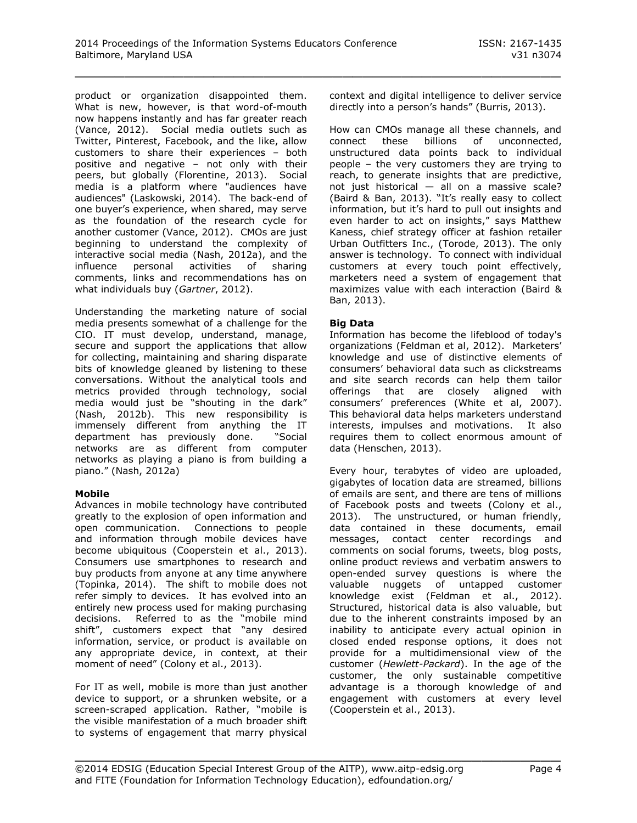product or organization disappointed them. What is new, however, is that word-of-mouth now happens instantly and has far greater reach (Vance, 2012). Social media outlets such as Twitter, Pinterest, Facebook, and the like, allow customers to share their experiences – both positive and negative – not only with their peers, but globally (Florentine, 2013). Social media is a platform where "audiences have audiences" (Laskowski, 2014). The back-end of one buyer's experience, when shared, may serve as the foundation of the research cycle for another customer (Vance, 2012). CMOs are just beginning to understand the complexity of interactive social media (Nash, 2012a), and the influence personal activities of sharing comments, links and recommendations has on what individuals buy (*Gartner*, 2012).

Understanding the marketing nature of social media presents somewhat of a challenge for the CIO. IT must develop, understand, manage, secure and support the applications that allow for collecting, maintaining and sharing disparate bits of knowledge gleaned by listening to these conversations. Without the analytical tools and metrics provided through technology, social media would just be "shouting in the dark" (Nash, 2012b). This new responsibility is immensely different from anything the IT department has previously done. "Social networks are as different from computer networks as playing a piano is from building a piano." (Nash, 2012a)

# **Mobile**

Advances in mobile technology have contributed greatly to the explosion of open information and open communication. Connections to people and information through mobile devices have become ubiquitous (Cooperstein et al., 2013). Consumers use smartphones to research and buy products from anyone at any time anywhere (Topinka, 2014). The shift to mobile does not refer simply to devices. It has evolved into an entirely new process used for making purchasing decisions. Referred to as the "mobile mind shift", customers expect that "any desired information, service, or product is available on any appropriate device, in context, at their moment of need" (Colony et al., 2013).

For IT as well, mobile is more than just another device to support, or a shrunken website, or a screen-scraped application. Rather, "mobile is the visible manifestation of a much broader shift to systems of engagement that marry physical

context and digital intelligence to deliver service directly into a person's hands" (Burris, 2013).

How can CMOs manage all these channels, and connect these billions of unconnected, unstructured data points back to individual people – the very customers they are trying to reach, to generate insights that are predictive, not just historical — all on a massive scale? (Baird & Ban, 2013). "It's really easy to collect information, but it's hard to pull out insights and even harder to act on insights," says Matthew Kaness, chief strategy officer at fashion retailer Urban Outfitters Inc., (Torode, 2013). The only answer is technology. To connect with individual customers at every touch point effectively, marketers need a system of engagement that maximizes value with each interaction (Baird & Ban, 2013).

# **Big Data**

Information has become the lifeblood of today's organizations (Feldman et al, 2012). Marketers' knowledge and use of distinctive elements of consumers' behavioral data such as clickstreams and site search records can help them tailor offerings that are closely aligned with consumers' preferences (White et al, 2007). This behavioral data helps marketers understand interests, impulses and motivations. It also requires them to collect enormous amount of data (Henschen, 2013).

Every hour, terabytes of video are uploaded, gigabytes of location data are streamed, billions of emails are sent, and there are tens of millions of Facebook posts and tweets (Colony et al., 2013). The unstructured, or human friendly, data contained in these documents, email messages, contact center recordings and comments on social forums, tweets, blog posts, online product reviews and verbatim answers to open-ended survey questions is where the valuable nuggets of untapped customer knowledge exist (Feldman et al., 2012). Structured, historical data is also valuable, but due to the inherent constraints imposed by an inability to anticipate every actual opinion in closed ended response options, it does not provide for a multidimensional view of the customer (*Hewlett-Packard*). In the age of the customer, the only sustainable competitive advantage is a thorough knowledge of and engagement with customers at every level (Cooperstein et al., 2013).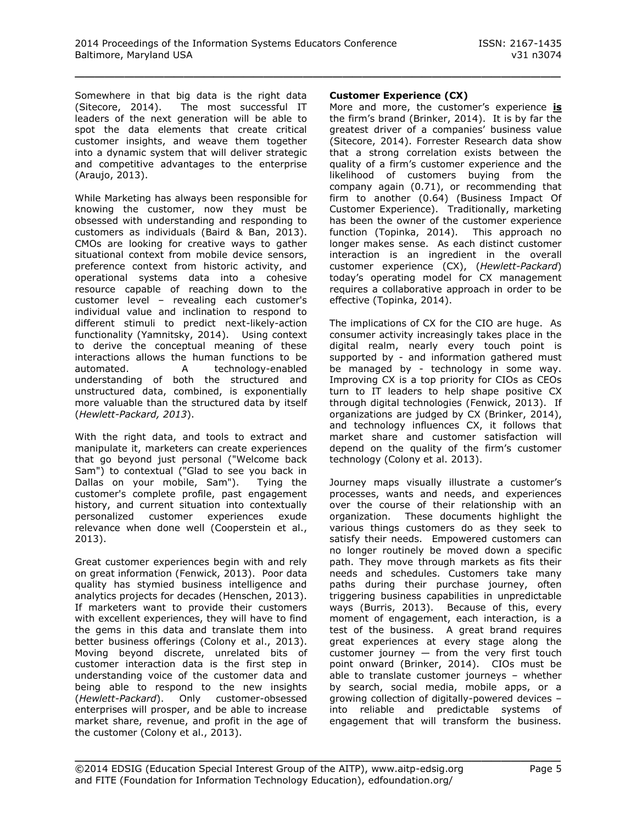Somewhere in that big data is the right data (Sitecore, 2014). The most successful IT leaders of the next generation will be able to spot the data elements that create critical customer insights, and weave them together into a dynamic system that will deliver strategic and competitive advantages to the enterprise (Araujo, 2013).

While Marketing has always been responsible for knowing the customer, now they must be obsessed with understanding and responding to customers as individuals (Baird & Ban, 2013). CMOs are looking for creative ways to gather situational context from mobile device sensors, preference context from historic activity, and operational systems data into a cohesive resource capable of reaching down to the customer level – revealing each customer's individual value and inclination to respond to different stimuli to predict next-likely-action functionality (Yamnitsky, 2014). Using context to derive the conceptual meaning of these interactions allows the human functions to be automated. A technology-enabled understanding of both the structured and unstructured data, combined, is exponentially more valuable than the structured data by itself (*Hewlett-Packard, 2013*).

With the right data, and tools to extract and manipulate it, marketers can create experiences that go beyond just personal ("Welcome back Sam") to contextual ("Glad to see you back in Dallas on your mobile, Sam"). Tying the customer's complete profile, past engagement history, and current situation into contextually personalized customer experiences exude relevance when done well (Cooperstein et al., 2013).

Great customer experiences begin with and rely on great information (Fenwick, 2013). Poor data quality has stymied business intelligence and analytics projects for decades (Henschen, 2013). If marketers want to provide their customers with excellent experiences, they will have to find the gems in this data and translate them into better business offerings (Colony et al., 2013). Moving beyond discrete, unrelated bits of customer interaction data is the first step in understanding voice of the customer data and being able to respond to the new insights (*Hewlett-Packard*). Only customer-obsessed enterprises will prosper, and be able to increase market share, revenue, and profit in the age of the customer (Colony et al., 2013).

# **Customer Experience (CX)**

More and more, the customer's experience **is** the firm's brand (Brinker, 2014). It is by far the greatest driver of a companies' business value (Sitecore, 2014). Forrester Research data show that a strong correlation exists between the quality of a firm's customer experience and the likelihood of customers buying from the company again (0.71), or recommending that firm to another (0.64) (Business Impact Of Customer Experience). Traditionally, marketing has been the owner of the customer experience function (Topinka, 2014). This approach no longer makes sense. As each distinct customer interaction is an ingredient in the overall customer experience (CX), (*Hewlett-Packard*) today's operating model for CX management requires a collaborative approach in order to be effective (Topinka, 2014).

The implications of CX for the CIO are huge. As consumer activity increasingly takes place in the digital realm, nearly every touch point is supported by - and information gathered must be managed by - technology in some way. Improving CX is a top priority for CIOs as CEOs turn to IT leaders to help shape positive CX through digital technologies (Fenwick, 2013). If organizations are judged by CX (Brinker, 2014), and technology influences CX, it follows that market share and customer satisfaction will depend on the quality of the firm's customer technology (Colony et al. 2013).

Journey maps visually illustrate a customer's processes, wants and needs, and experiences over the course of their relationship with an organization. These documents highlight the various things customers do as they seek to satisfy their needs. Empowered customers can no longer routinely be moved down a specific path. They move through markets as fits their needs and schedules. Customers take many paths during their purchase journey, often triggering business capabilities in unpredictable ways (Burris, 2013). Because of this, every moment of engagement, each interaction, is a test of the business. A great brand requires great experiences at every stage along the customer journey  $-$  from the very first touch point onward (Brinker, 2014). CIOs must be able to translate customer journeys – whether by search, social media, mobile apps, or a growing collection of digitally-powered devices – into reliable and predictable systems of engagement that will transform the business.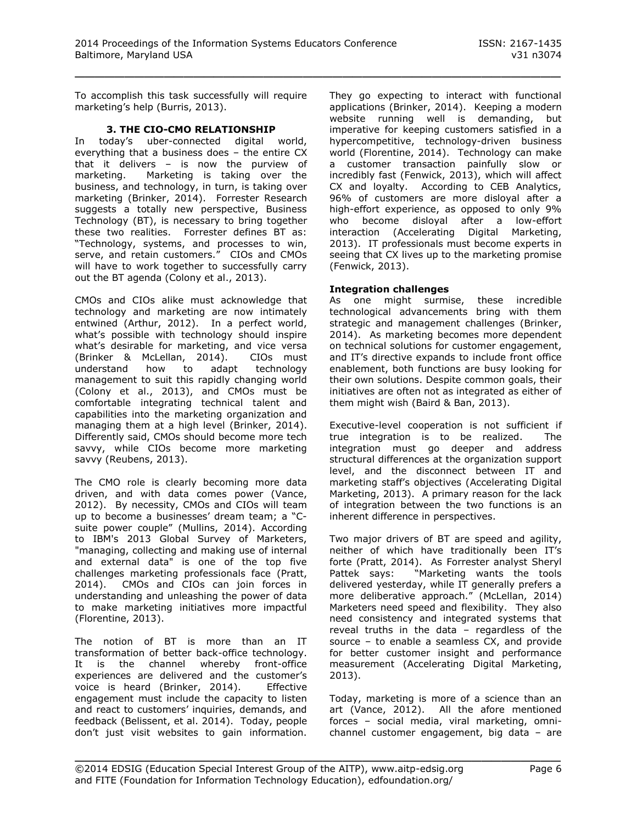To accomplish this task successfully will require marketing's help (Burris, 2013).

## **3. THE CIO-CMO RELATIONSHIP**

In today's uber-connected digital world, everything that a business does – the entire CX that it delivers – is now the purview of marketing. Marketing is taking over the business, and technology, in turn, is taking over marketing (Brinker, 2014). Forrester Research suggests a totally new perspective, Business Technology (BT), is necessary to bring together these two realities. Forrester defines BT as: "Technology, systems, and processes to win, serve, and retain customers." CIOs and CMOs will have to work together to successfully carry out the BT agenda (Colony et al., 2013).

CMOs and CIOs alike must acknowledge that technology and marketing are now intimately entwined (Arthur, 2012). In a perfect world, what's possible with technology should inspire what's desirable for marketing, and vice versa (Brinker & McLellan, 2014). CIOs must understand how to adapt technology management to suit this rapidly changing world (Colony et al., 2013), and CMOs must be comfortable integrating technical talent and capabilities into the marketing organization and managing them at a high level (Brinker, 2014). Differently said, CMOs should become more tech savvy, while CIOs become more marketing savvy (Reubens, 2013).

The CMO role is clearly becoming more data driven, and with data comes power (Vance, 2012). By necessity, CMOs and CIOs will team up to become a businesses' dream team; a "Csuite power couple" (Mullins, 2014). According to IBM's 2013 Global Survey of Marketers, "managing, collecting and making use of internal and external data" is one of the top five challenges marketing professionals face (Pratt, 2014). CMOs and CIOs can join forces in understanding and unleashing the power of data to make marketing initiatives more impactful (Florentine, 2013).

The notion of BT is more than an IT transformation of better back-office technology. It is the channel whereby front-office experiences are delivered and the customer's voice is heard (Brinker, 2014). Effective engagement must include the capacity to listen and react to customers' inquiries, demands, and feedback (Belissent, et al. 2014). Today, people don't just visit websites to gain information.

They go expecting to interact with functional applications (Brinker, 2014). Keeping a modern website running well is demanding, but imperative for keeping customers satisfied in a hypercompetitive, technology-driven business world (Florentine, 2014). Technology can make a customer transaction painfully slow or incredibly fast (Fenwick, 2013), which will affect CX and loyalty. According to CEB Analytics, 96% of customers are more disloyal after a high-effort experience, as opposed to only 9% who become disloyal after a low-effort interaction (Accelerating Digital Marketing, 2013). IT professionals must become experts in seeing that CX lives up to the marketing promise (Fenwick, 2013).

# **Integration challenges**

As one might surmise, these incredible technological advancements bring with them strategic and management challenges (Brinker, 2014). As marketing becomes more dependent on technical solutions for customer engagement, and IT's directive expands to include front office enablement, both functions are busy looking for their own solutions. Despite common goals, their initiatives are often not as integrated as either of them might wish (Baird & Ban, 2013).

Executive-level cooperation is not sufficient if true integration is to be realized. The integration must go deeper and address structural differences at the organization support level, and the disconnect between IT and marketing staff's objectives (Accelerating Digital Marketing, 2013). A primary reason for the lack of integration between the two functions is an inherent difference in perspectives.

Two major drivers of BT are speed and agility, neither of which have traditionally been IT's forte (Pratt, 2014). As Forrester analyst Sheryl Pattek says: "Marketing wants the tools delivered yesterday, while IT generally prefers a more deliberative approach." (McLellan, 2014) Marketers need speed and flexibility. They also need consistency and integrated systems that reveal truths in the data – regardless of the source – to enable a seamless CX, and provide for better customer insight and performance measurement (Accelerating Digital Marketing, 2013).

Today, marketing is more of a science than an art (Vance, 2012). All the afore mentioned forces – social media, viral marketing, omnichannel customer engagement, big data – are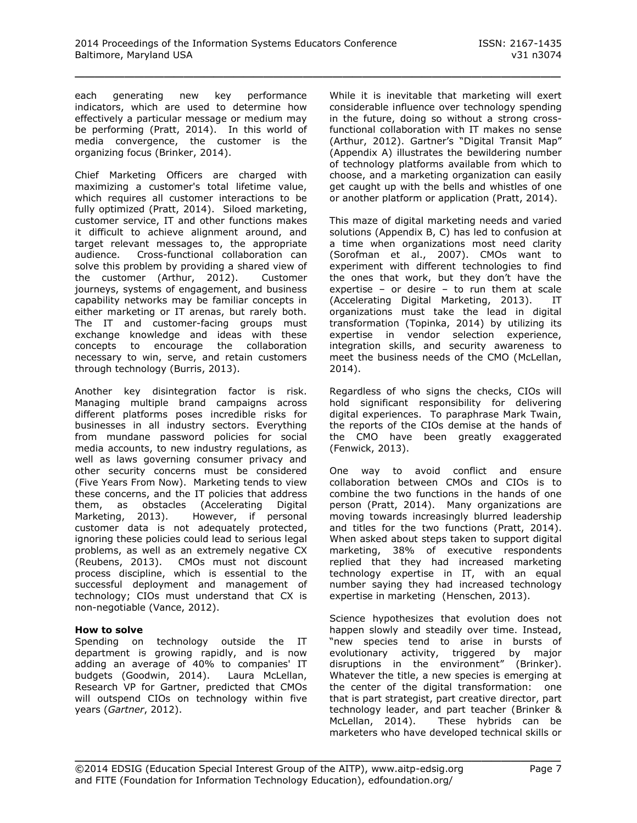each generating new key performance indicators, which are used to determine how effectively a particular message or medium may be performing (Pratt, 2014). In this world of media convergence, the customer is the organizing focus (Brinker, 2014).

Chief Marketing Officers are charged with maximizing a customer's total lifetime value, which requires all customer interactions to be fully optimized (Pratt, 2014). Siloed marketing, customer service, IT and other functions makes it difficult to achieve alignment around, and target relevant messages to, the appropriate audience. Cross-functional collaboration can solve this problem by providing a shared view of the customer (Arthur, 2012). Customer journeys, systems of engagement, and business capability networks may be familiar concepts in either marketing or IT arenas, but rarely both. The IT and customer-facing groups must exchange knowledge and ideas with these concepts to encourage the collaboration necessary to win, serve, and retain customers through technology (Burris, 2013).

Another key disintegration factor is risk. Managing multiple brand campaigns across different platforms poses incredible risks for businesses in all industry sectors. Everything from mundane password policies for social media accounts, to new industry regulations, as well as laws governing consumer privacy and other security concerns must be considered (Five Years From Now). Marketing tends to view these concerns, and the IT policies that address them, as obstacles (Accelerating Digital<br>Marketing, 2013). However, if personal However, if personal customer data is not adequately protected, ignoring these policies could lead to serious legal problems, as well as an extremely negative CX (Reubens, 2013). CMOs must not discount process discipline, which is essential to the successful deployment and management of technology; CIOs must understand that CX is non-negotiable (Vance, 2012).

#### **How to solve**

Spending on technology outside the IT department is growing rapidly, and is now adding an average of 40% to companies' IT budgets (Goodwin, 2014). Laura McLellan, Research VP for Gartner, predicted that CMOs will outspend CIOs on technology within five years (*Gartner*, 2012).

While it is inevitable that marketing will exert considerable influence over technology spending in the future, doing so without a strong crossfunctional collaboration with IT makes no sense (Arthur, 2012). Gartner's "Digital Transit Map" (Appendix A) illustrates the bewildering number of technology platforms available from which to choose, and a marketing organization can easily get caught up with the bells and whistles of one or another platform or application (Pratt, 2014).

This maze of digital marketing needs and varied solutions (Appendix B, C) has led to confusion at a time when organizations most need clarity (Sorofman et al., 2007). CMOs want to experiment with different technologies to find the ones that work, but they don't have the expertise – or desire – to run them at scale (Accelerating Digital Marketing, 2013). IT organizations must take the lead in digital transformation (Topinka, 2014) by utilizing its expertise in vendor selection experience, integration skills, and security awareness to meet the business needs of the CMO (McLellan, 2014).

Regardless of who signs the checks, CIOs will hold significant responsibility for delivering digital experiences. To paraphrase Mark Twain, the reports of the CIOs demise at the hands of the CMO have been greatly exaggerated (Fenwick, 2013).

One way to avoid conflict and ensure collaboration between CMOs and CIOs is to combine the two functions in the hands of one person (Pratt, 2014). Many organizations are moving towards increasingly blurred leadership and titles for the two functions (Pratt, 2014). When asked about steps taken to support digital marketing, 38% of executive respondents replied that they had increased marketing technology expertise in IT, with an equal number saying they had increased technology expertise in marketing (Henschen, 2013).

Science hypothesizes that evolution does not happen slowly and steadily over time. Instead, "new species tend to arise in bursts of evolutionary activity, triggered by major disruptions in the environment" (Brinker). Whatever the title, a new species is emerging at the center of the digital transformation: one that is part strategist, part creative director, part technology leader, and part teacher (Brinker & McLellan, 2014). These hybrids can be marketers who have developed technical skills or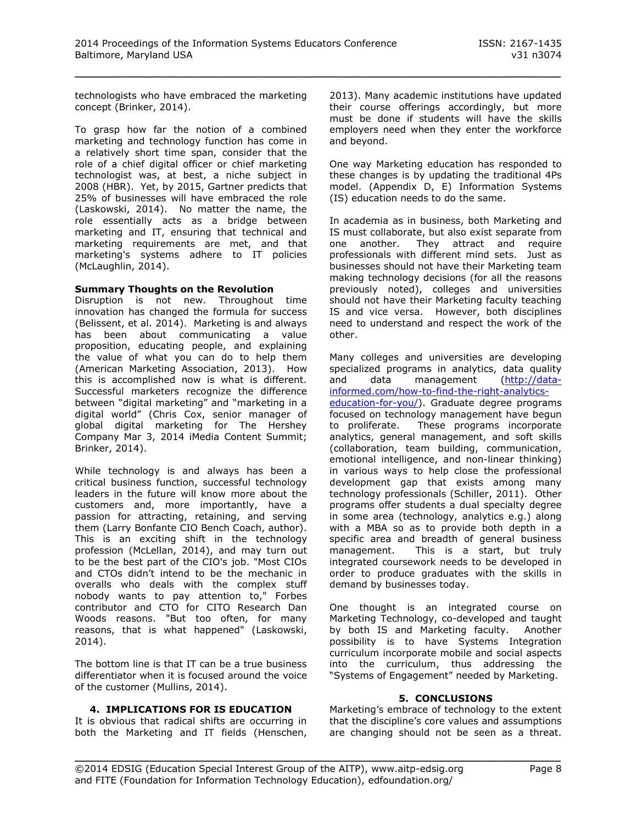technologists who have embraced the marketing concept (Brinker, 2014).

To grasp how far the notion of a combined marketing and technology function has come in a relatively short time span, consider that the role of a chief digital officer or chief marketing technologist was, at best, a niche subject in 2008 (HBR). Yet, by 2015, Gartner predicts that 25% of businesses will have embraced the role (Laskowski, 2014). No matter the name, the role essentially acts as a bridge between marketing and IT, ensuring that technical and marketing requirements are met, and that marketing's systems adhere to IT policies (McLaughlin, 2014).

#### **Summary Thoughts on the Revolution**

Disruption is not new. Throughout time innovation has changed the formula for success (Belissent, et al. 2014). Marketing is and always has been about communicating a value proposition, educating people, and explaining the value of what you can do to help them (American Marketing Association, 2013). How this is accomplished now is what is different. Successful marketers recognize the difference between "digital marketing" and "marketing in a digital world" (Chris Cox, senior manager of global digital marketing for The Hershey Company Mar 3, 2014 iMedia Content Summit; Brinker, 2014).

While technology is and always has been a critical business function, successful technology leaders in the future will know more about the customers and, more importantly, have a passion for attracting, retaining, and serving them (Larry Bonfante CIO Bench Coach, author). This is an exciting shift in the technology profession (McLellan, 2014), and may turn out to be the best part of the CIO's job. "Most CIOs and CTOs didn't intend to be the mechanic in overalls who deals with the complex stuff nobody wants to pay attention to," Forbes contributor and CTO for CITO Research Dan Woods reasons. "But too often, for many reasons, that is what happened" (Laskowski, 2014).

The bottom line is that IT can be a true business differentiator when it is focused around the voice of the customer (Mullins, 2014).

#### **4. IMPLICATIONS FOR IS EDUCATION**

It is obvious that radical shifts are occurring in both the Marketing and IT fields (Henschen,

2013). Many academic institutions have updated their course offerings accordingly, but more must be done if students will have the skills employers need when they enter the workforce and beyond.

One way Marketing education has responded to these changes is by updating the traditional 4Ps model. (Appendix D, E) Information Systems (IS) education needs to do the same.

In academia as in business, both Marketing and IS must collaborate, but also exist separate from one another. They attract and require professionals with different mind sets. Just as businesses should not have their Marketing team making technology decisions (for all the reasons previously noted), colleges and universities should not have their Marketing faculty teaching IS and vice versa. However, both disciplines need to understand and respect the work of the other.

Many colleges and universities are developing specialized programs in analytics, data quality and data management [\(http://data](http://data-informed.com/how-to-find-the-right-analytics-education-for-you/)[informed.com/how-to-find-the-right-analytics](http://data-informed.com/how-to-find-the-right-analytics-education-for-you/)[education-for-you/\)](http://data-informed.com/how-to-find-the-right-analytics-education-for-you/). Graduate degree programs focused on technology management have begun to proliferate. These programs incorporate analytics, general management, and soft skills (collaboration, team building, communication, emotional intelligence, and non-linear thinking) in various ways to help close the professional development gap that exists among many technology professionals (Schiller, 2011). Other programs offer students a dual specialty degree in some area (technology, analytics e.g.) along with a MBA so as to provide both depth in a specific area and breadth of general business management. This is a start, but truly integrated coursework needs to be developed in order to produce graduates with the skills in demand by businesses today.

One thought is an integrated course on Marketing Technology, co-developed and taught by both IS and Marketing faculty. Another possibility is to have Systems Integration curriculum incorporate mobile and social aspects into the curriculum, thus addressing the "Systems of Engagement" needed by Marketing.

#### **5. CONCLUSIONS**

Marketing's embrace of technology to the extent that the discipline's core values and assumptions are changing should not be seen as a threat.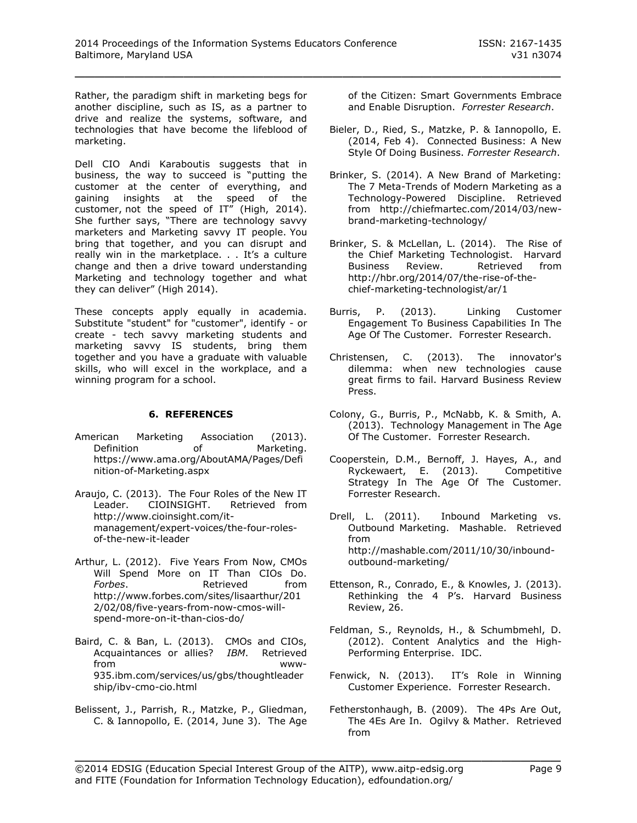Rather, the paradigm shift in marketing begs for another discipline, such as IS, as a partner to drive and realize the systems, software, and technologies that have become the lifeblood of marketing.

Dell CIO Andi Karaboutis suggests that in business, the way to succeed is "putting the customer at the center of everything, and gaining insights at the speed of the customer, not the speed of IT" (High, 2014). She further says, "There are technology savvy marketers and Marketing savvy IT people. You bring that together, and you can disrupt and really win in the marketplace. . . It's a culture change and then a drive toward understanding Marketing and technology together and what they can deliver" (High 2014).

These concepts apply equally in academia. Substitute "student" for "customer", identify - or create - tech savvy marketing students and marketing savvy IS students, bring them together and you have a graduate with valuable skills, who will excel in the workplace, and a winning program for a school.

# **6. REFERENCES**

- American Marketing Association (2013). Definition of Marketing. https://www.ama.org/AboutAMA/Pages/Defi nition-of-Marketing.aspx
- Araujo, C. (2013). The Four Roles of the New IT Leader. CIOINSIGHT. Retrieved from http://www.cioinsight.com/itmanagement/expert-voices/the-four-rolesof-the-new-it-leader
- Arthur, L. (2012). Five Years From Now, CMOs Will Spend More on IT Than CIOs Do. *Forbes*. Retrieved from http://www.forbes.com/sites/lisaarthur/201 2/02/08/five-years-from-now-cmos-willspend-more-on-it-than-cios-do/
- Baird, C. & Ban, L. (2013). CMOs and CIOs, Acquaintances or allies? *IBM*. Retrieved from www-935.ibm.com/services/us/gbs/thoughtleader ship/ibv-cmo-cio.html
- Belissent, J., Parrish, R., Matzke, P., Gliedman, C. & Iannopollo, E. (2014, June 3). The Age

of the Citizen: Smart Governments Embrace and Enable Disruption. *Forrester Research*.

- Bieler, D., Ried, S., Matzke, P. & Iannopollo, E. (2014, Feb 4). Connected Business: A New Style Of Doing Business. *Forrester Research*.
- Brinker, S. (2014). A New Brand of Marketing: The 7 Meta-Trends of Modern Marketing as a Technology-Powered Discipline. Retrieved from http://chiefmartec.com/2014/03/newbrand-marketing-technology/
- Brinker, S. & McLellan, L. (2014). The Rise of the Chief Marketing Technologist. Harvard Business Review. Retrieved from http://hbr.org/2014/07/the-rise-of-thechief-marketing-technologist/ar/1
- Burris, P. (2013). Linking Customer Engagement To Business Capabilities In The Age Of The Customer. Forrester Research.
- Christensen, C. (2013). The innovator's dilemma: when new technologies cause great firms to fail. Harvard Business Review Press.
- Colony, G., Burris, P., McNabb, K. & Smith, A. (2013). Technology Management in The Age Of The Customer. Forrester Research.
- Cooperstein, D.M., Bernoff, J. Hayes, A., and Ryckewaert, E. (2013). Competitive Strategy In The Age Of The Customer. Forrester Research.

Drell, L. (2011). Inbound Marketing vs. Outbound Marketing. Mashable. Retrieved from http://mashable.com/2011/10/30/inboundoutbound-marketing/

- Ettenson, R., Conrado, E., & Knowles, J. (2013). Rethinking the 4 P's. Harvard Business Review, 26.
- Feldman, S., Reynolds, H., & Schumbmehl, D. (2012). Content Analytics and the High-Performing Enterprise. IDC.
- Fenwick, N. (2013). IT's Role in Winning Customer Experience. Forrester Research.
- Fetherstonhaugh, B. (2009). The 4Ps Are Out, The 4Es Are In. Ogilvy & Mather. Retrieved from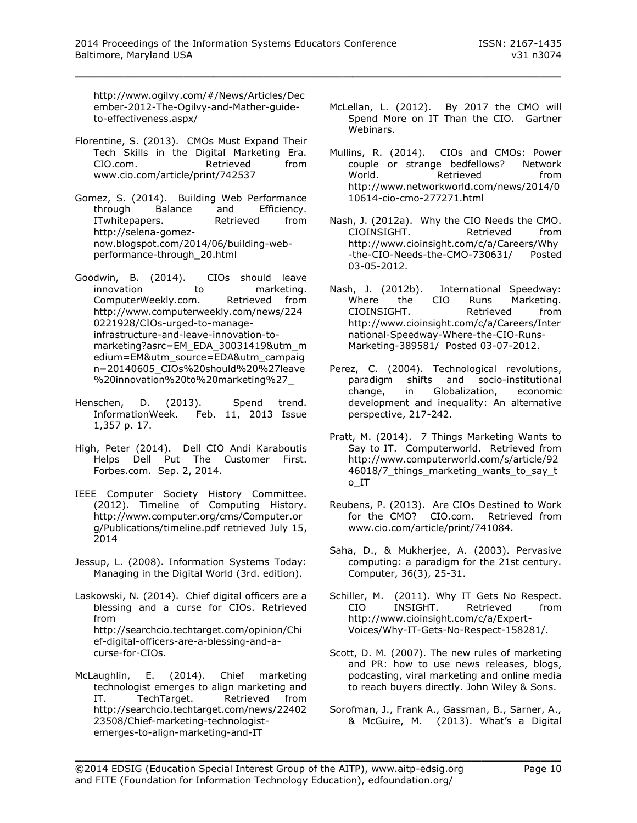http://www.ogilvy.com/#/News/Articles/Dec ember-2012-The-Ogilvy-and-Mather-guideto-effectiveness.aspx/

- Florentine, S. (2013). CMOs Must Expand Their Tech Skills in the Digital Marketing Era. CIO.com. Retrieved from www.cio.com/article/print/742537
- Gomez, S. (2014). Building Web Performance through Balance and Efficiency. ITwhitepapers. Retrieved from http://selena-gomeznow.blogspot.com/2014/06/building-webperformance-through\_20.html
- Goodwin, B. (2014). CIOs should leave innovation to marketing. ComputerWeekly.com. Retrieved from http://www.computerweekly.com/news/224 0221928/CIOs-urged-to-manageinfrastructure-and-leave-innovation-tomarketing?asrc=EM\_EDA\_30031419&utm\_m edium=EM&utm\_source=EDA&utm\_campaig n=20140605\_CIOs%20should%20%27leave %20innovation%20to%20marketing%27\_
- Henschen, D. (2013). Spend trend. InformationWeek. Feb. 11, 2013 Issue 1,357 p. 17.
- High, Peter (2014). Dell CIO Andi Karaboutis Helps Dell Put The Customer First. Forbes.com. Sep. 2, 2014.
- IEEE Computer Society History Committee. (2012). Timeline of Computing History. http://www.computer.org/cms/Computer.or g/Publications/timeline.pdf retrieved July 15, 2014
- Jessup, L. (2008). Information Systems Today: Managing in the Digital World (3rd. edition).
- Laskowski, N. (2014). Chief digital officers are a blessing and a curse for CIOs. Retrieved from http://searchcio.techtarget.com/opinion/Chi ef-digital-officers-are-a-blessing-and-acurse-for-CIOs.
- McLaughlin, E. (2014). Chief marketing technologist emerges to align marketing and IT. TechTarget. Retrieved from http://searchcio.techtarget.com/news/22402 23508/Chief-marketing-technologistemerges-to-align-marketing-and-IT
- McLellan, L. (2012). By 2017 the CMO will Spend More on IT Than the CIO. Gartner Webinars.
- Mullins, R. (2014). CIOs and CMOs: Power couple or strange bedfellows? Network World. Retrieved from http://www.networkworld.com/news/2014/0 10614-cio-cmo-277271.html
- Nash, J. (2012a). Why the CIO Needs the CMO. CIOINSIGHT. Retrieved from http://www.cioinsight.com/c/a/Careers/Why -the-CIO-Needs-the-CMO-730631/ Posted 03-05-2012.
- Nash, J. (2012b). International Speedway: Where the CIO Runs Marketing. CIOINSIGHT. Retrieved from http://www.cioinsight.com/c/a/Careers/Inter national-Speedway-Where-the-CIO-Runs-Marketing-389581/ Posted 03-07-2012.
- Perez, C. (2004). Technological revolutions, paradigm shifts and socio-institutional change, in Globalization, economic development and inequality: An alternative perspective, 217-242.
- Pratt, M. (2014). 7 Things Marketing Wants to Say to IT. Computerworld. Retrieved from http://www.computerworld.com/s/article/92 46018/7\_things\_marketing\_wants\_to\_say\_t o\_IT
- Reubens, P. (2013). Are CIOs Destined to Work for the CMO? CIO.com. Retrieved from www.cio.com/article/print/741084.
- Saha, D., & Mukherjee, A. (2003). Pervasive computing: a paradigm for the 21st century. Computer, 36(3), 25-31.
- Schiller, M. (2011). Why IT Gets No Respect. CIO INSIGHT. Retrieved from http://www.cioinsight.com/c/a/Expert-Voices/Why-IT-Gets-No-Respect-158281/.
- Scott, D. M. (2007). The new rules of marketing and PR: how to use news releases, blogs, podcasting, viral marketing and online media to reach buyers directly. John Wiley & Sons.
- Sorofman, J., Frank A., Gassman, B., Sarner, A., & McGuire, M. (2013). What's a Digital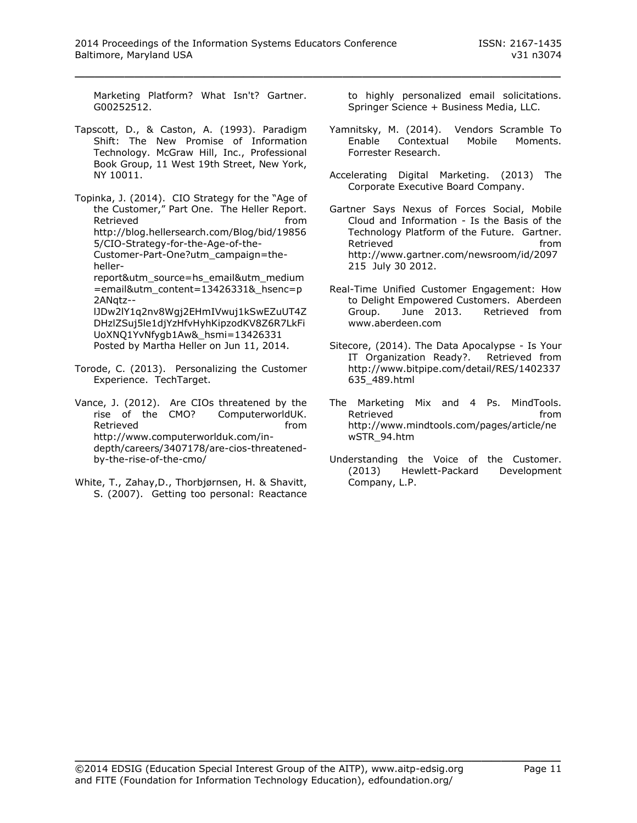Marketing Platform? What Isn't? Gartner. G00252512.

Tapscott, D., & Caston, A. (1993). Paradigm Shift: The New Promise of Information Technology. McGraw Hill, Inc., Professional Book Group, 11 West 19th Street, New York, NY 10011.

Topinka, J. (2014). CIO Strategy for the "Age of the Customer," Part One. The Heller Report. Retrieved **from** http://blog.hellersearch.com/Blog/bid/19856 5/CIO-Strategy-for-the-Age-of-the-Customer-Part-One?utm\_campaign=thehellerreport&utm\_source=hs\_email&utm\_medium =email&utm\_content=13426331&\_hsenc=p 2ANqtz- lJDw2lY1q2nv8Wgj2EHmIVwuj1kSwEZuUT4Z DHzlZSuj5le1djYzHfvHyhKipzodKV8Z6R7LkFi UoXNQ1YvNfygb1Aw&\_hsmi=13426331 Posted by Martha Heller on Jun 11, 2014.

- Torode, C. (2013). Personalizing the Customer Experience. TechTarget.
- Vance, J. (2012). Are CIOs threatened by the rise of the CMO? ComputerworldUK. Retrieved **from** http://www.computerworlduk.com/indepth/careers/3407178/are-cios-threatenedby-the-rise-of-the-cmo/
- White, T., Zahay,D., Thorbjørnsen, H. & Shavitt, S. (2007). Getting too personal: Reactance

to highly personalized email solicitations. Springer Science + Business Media, LLC.

- Yamnitsky, M. (2014). Vendors Scramble To Enable Contextual Mobile Moments. Forrester Research.
- Accelerating Digital Marketing. (2013) The Corporate Executive Board Company.
- Gartner Says Nexus of Forces Social, Mobile Cloud and Information - Is the Basis of the Technology Platform of the Future. Gartner. Retrieved **from** http://www.gartner.com/newsroom/id/2097 215 July 30 2012.
- Real-Time Unified Customer Engagement: How to Delight Empowered Customers. Aberdeen<br>Group. June 2013. Retrieved from Group. June 2013. Retrieved from www.aberdeen.com
- Sitecore, (2014). The Data Apocalypse Is Your IT Organization Ready?. Retrieved from http://www.bitpipe.com/detail/RES/1402337 635\_489.html
- The Marketing Mix and 4 Ps. MindTools. Retrieved **from** http://www.mindtools.com/pages/article/ne wSTR\_94.htm
- Understanding the Voice of the Customer. (2013) Hewlett-Packard Development Company, L.P.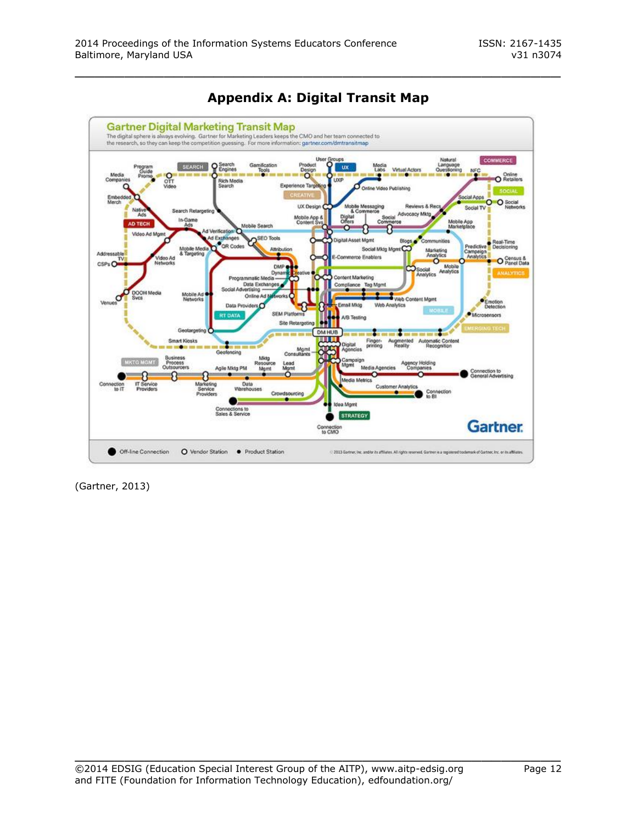

**Appendix A: Digital Transit Map**

(Gartner, 2013)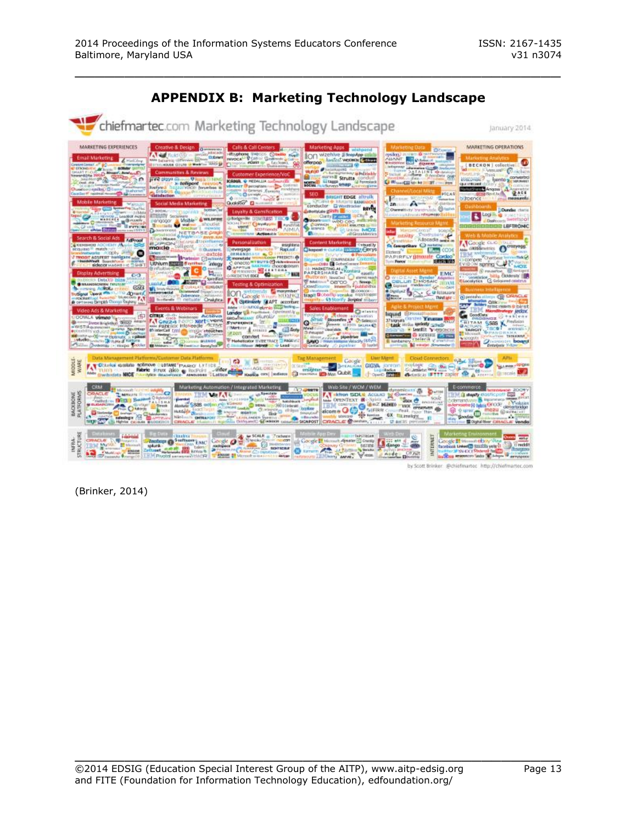

# **APPENDIX B: Marketing Technology Landscape**

\_\_\_\_\_\_\_\_\_\_\_\_\_\_\_\_\_\_\_\_\_\_\_\_\_\_\_\_\_\_\_\_\_\_\_\_\_\_\_\_\_\_\_\_\_\_\_\_\_

by Scott Brinker: @chiefmartec\_http://chiefmartec.c

(Brinker, 2014)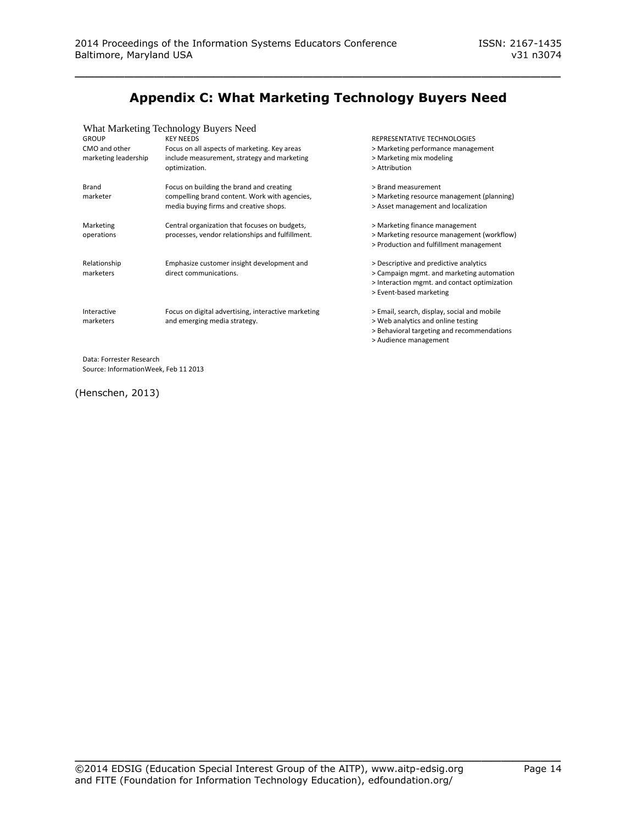# **Appendix C: What Marketing Technology Buyers Need**

\_\_\_\_\_\_\_\_\_\_\_\_\_\_\_\_\_\_\_\_\_\_\_\_\_\_\_\_\_\_\_\_\_\_\_\_\_\_\_\_\_\_\_\_\_\_\_\_\_

#### What Marketing Technology Buyers Need

| <b>GROUP</b>             | <b>KEY NEEDS</b>                                    | REPRESENTATIVE TECHNOLOGIES                  |
|--------------------------|-----------------------------------------------------|----------------------------------------------|
| CMO and other            | Focus on all aspects of marketing. Key areas        | > Marketing performance management           |
| marketing leadership     | include measurement, strategy and marketing         | > Marketing mix modeling                     |
|                          | optimization.                                       | > Attribution                                |
| <b>Brand</b>             | Focus on building the brand and creating            | > Brand measurement                          |
| marketer                 | compelling brand content. Work with agencies,       | > Marketing resource management (planning)   |
|                          | media buying firms and creative shops.              | > Asset management and localization          |
| Marketing                | Central organization that focuses on budgets,       | > Marketing finance management               |
| operations               | processes, vendor relationships and fulfillment.    | > Marketing resource management (workflow)   |
|                          |                                                     | > Production and fulfillment management      |
| Relationship             | Emphasize customer insight development and          | > Descriptive and predictive analytics       |
| marketers                | direct communications.                              | > Campaign mgmt. and marketing automation    |
|                          |                                                     | > Interaction mgmt. and contact optimization |
|                          |                                                     | > Event-based marketing                      |
| Interactive              | Focus on digital advertising, interactive marketing | > Email, search, display, social and mobile  |
| marketers                | and emerging media strategy.                        | > Web analytics and online testing           |
|                          |                                                     | > Behavioral targeting and recommendations   |
|                          |                                                     | > Audience management                        |
| Data: Forrester Research |                                                     |                                              |

Data: Forrester Research Source: InformationWeek, Feb 11 2013

(Henschen, 2013)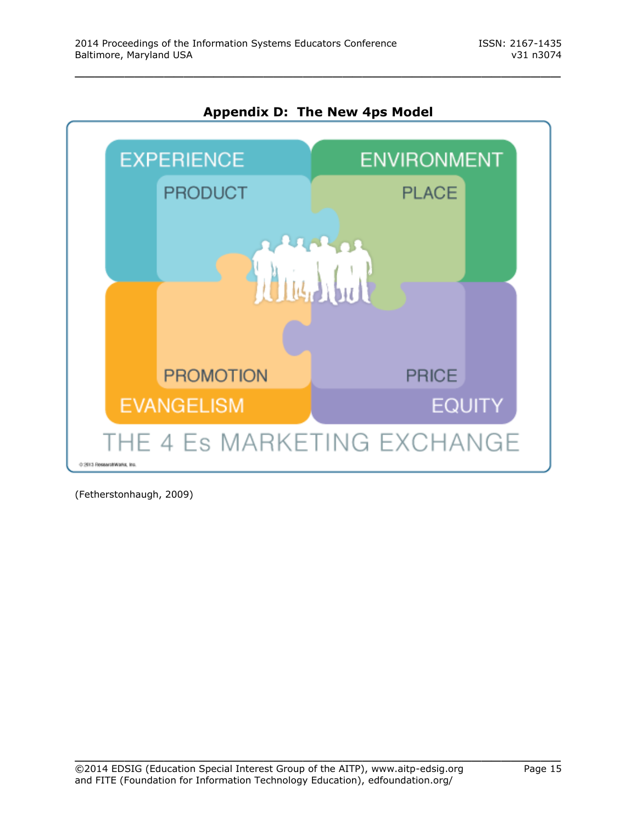

**Appendix D: The New 4ps Model**

\_\_\_\_\_\_\_\_\_\_\_\_\_\_\_\_\_\_\_\_\_\_\_\_\_\_\_\_\_\_\_\_\_\_\_\_\_\_\_\_\_\_\_\_\_\_\_\_\_

(Fetherstonhaugh, 2009)